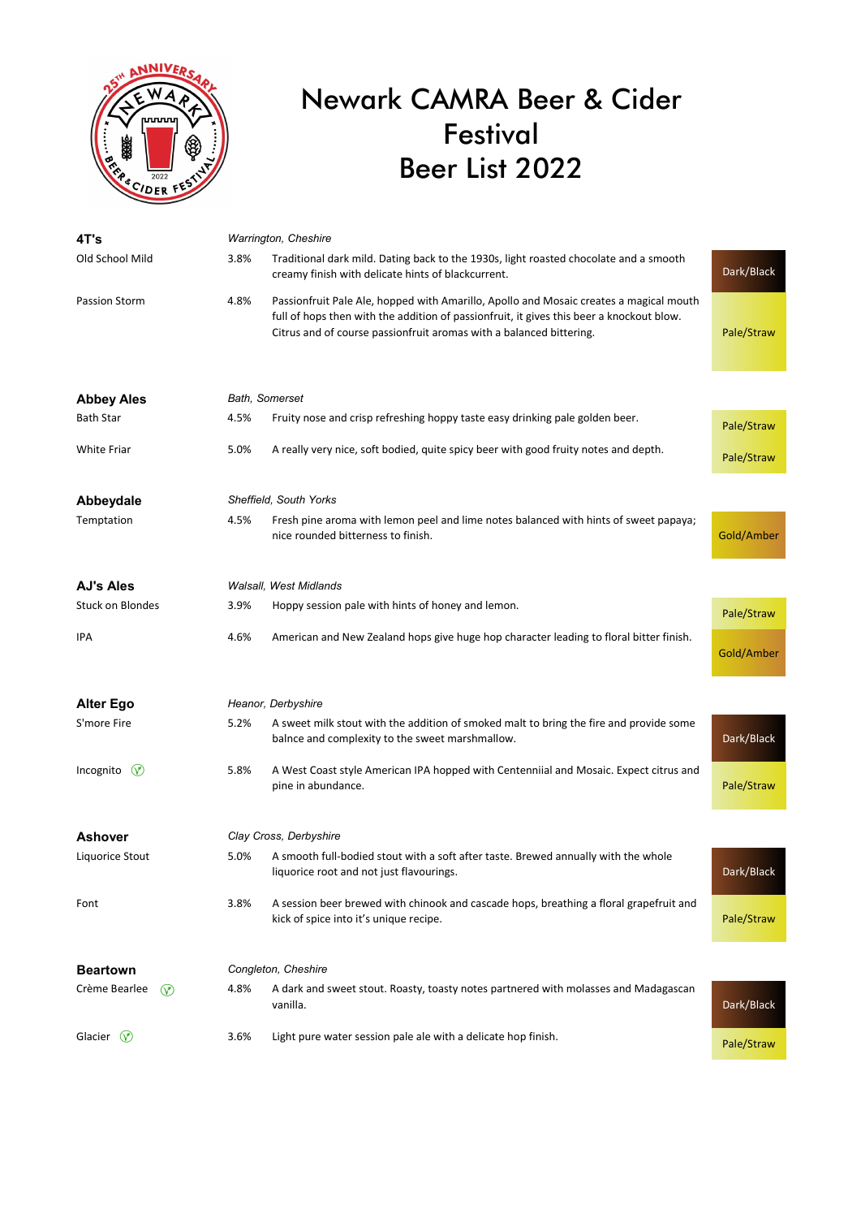

## Newark CAMRA Beer & Cider Festival Beer List 2022

| 4T's                            | Warrington, Cheshire   |                                                                                                                                                                                                                                                           |            |  |
|---------------------------------|------------------------|-----------------------------------------------------------------------------------------------------------------------------------------------------------------------------------------------------------------------------------------------------------|------------|--|
| Old School Mild                 | 3.8%                   | Traditional dark mild. Dating back to the 1930s, light roasted chocolate and a smooth<br>creamy finish with delicate hints of blackcurrent.                                                                                                               | Dark/Black |  |
| Passion Storm                   | 4.8%                   | Passionfruit Pale Ale, hopped with Amarillo, Apollo and Mosaic creates a magical mouth<br>full of hops then with the addition of passionfruit, it gives this beer a knockout blow.<br>Citrus and of course passionfruit aromas with a balanced bittering. | Pale/Straw |  |
| <b>Abbey Ales</b>               | Bath, Somerset         |                                                                                                                                                                                                                                                           |            |  |
| <b>Bath Star</b>                | 4.5%                   | Fruity nose and crisp refreshing hoppy taste easy drinking pale golden beer.                                                                                                                                                                              | Pale/Straw |  |
| <b>White Friar</b>              | 5.0%                   | A really very nice, soft bodied, quite spicy beer with good fruity notes and depth.                                                                                                                                                                       | Pale/Straw |  |
| Abbeydale                       | Sheffield, South Yorks |                                                                                                                                                                                                                                                           |            |  |
| Temptation                      | 4.5%                   | Fresh pine aroma with lemon peel and lime notes balanced with hints of sweet papaya;<br>nice rounded bitterness to finish.                                                                                                                                | Gold/Amber |  |
| <b>AJ's Ales</b>                |                        | Walsall, West Midlands                                                                                                                                                                                                                                    |            |  |
| <b>Stuck on Blondes</b>         | 3.9%                   | Hoppy session pale with hints of honey and lemon.                                                                                                                                                                                                         | Pale/Straw |  |
| IPA                             | 4.6%                   | American and New Zealand hops give huge hop character leading to floral bitter finish.                                                                                                                                                                    | Gold/Amber |  |
| <b>Alter Ego</b>                |                        | Heanor, Derbyshire                                                                                                                                                                                                                                        |            |  |
| S'more Fire                     | 5.2%                   | A sweet milk stout with the addition of smoked malt to bring the fire and provide some<br>balnce and complexity to the sweet marshmallow.                                                                                                                 | Dark/Black |  |
| Incognito $\heartsuit$          | 5.8%                   | A West Coast style American IPA hopped with Centenniial and Mosaic. Expect citrus and<br>pine in abundance.                                                                                                                                               | Pale/Straw |  |
| <b>Ashover</b>                  |                        | Clay Cross, Derbyshire                                                                                                                                                                                                                                    |            |  |
| Liquorice Stout                 | 5.0%                   | A smooth full-bodied stout with a soft after taste. Brewed annually with the whole<br>liquorice root and not just flavourings.                                                                                                                            | Dark/Black |  |
| Font                            | 3.8%                   | A session beer brewed with chinook and cascade hops, breathing a floral grapefruit and<br>kick of spice into it's unique recipe.                                                                                                                          | Pale/Straw |  |
| <b>Beartown</b>                 | Congleton, Cheshire    |                                                                                                                                                                                                                                                           |            |  |
| Crème Bearlee<br>$\circledcirc$ | 4.8%                   | A dark and sweet stout. Roasty, toasty notes partnered with molasses and Madagascan<br>vanilla.                                                                                                                                                           | Dark/Black |  |
| Glacier $(v)$                   | 3.6%                   | Light pure water session pale ale with a delicate hop finish.                                                                                                                                                                                             | Pale/Straw |  |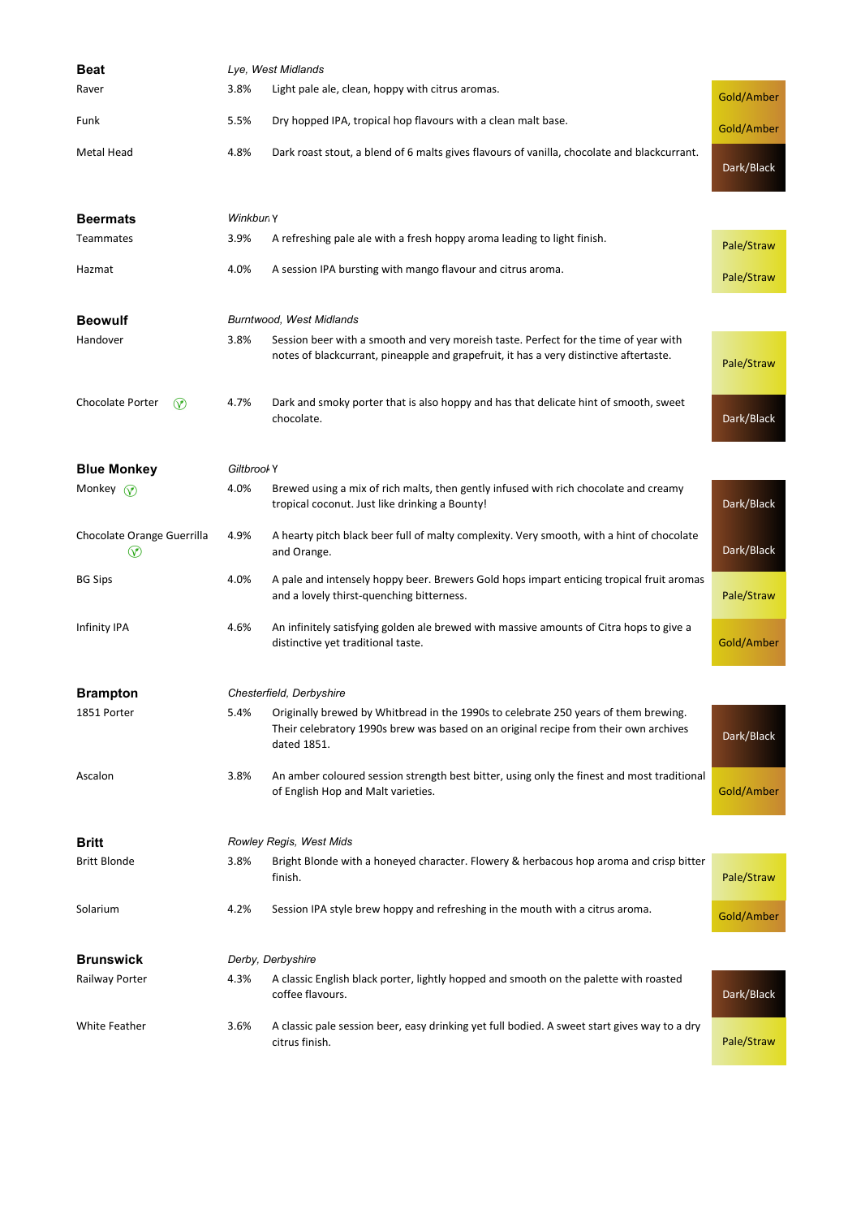| Beat                                       | Lye, West Midlands       |                                                                                                                                                                                            |            |  |
|--------------------------------------------|--------------------------|--------------------------------------------------------------------------------------------------------------------------------------------------------------------------------------------|------------|--|
| Raver                                      | 3.8%                     | Light pale ale, clean, hoppy with citrus aromas.                                                                                                                                           | Gold/Amber |  |
| Funk                                       | 5.5%                     | Dry hopped IPA, tropical hop flavours with a clean malt base.                                                                                                                              | Gold/Amber |  |
| <b>Metal Head</b>                          | 4.8%                     | Dark roast stout, a blend of 6 malts gives flavours of vanilla, chocolate and blackcurrant.                                                                                                | Dark/Black |  |
| <b>Beermats</b>                            | Winkbun Y                |                                                                                                                                                                                            |            |  |
| <b>Teammates</b>                           | 3.9%                     | A refreshing pale ale with a fresh hoppy aroma leading to light finish.                                                                                                                    | Pale/Straw |  |
| Hazmat                                     | 4.0%                     | A session IPA bursting with mango flavour and citrus aroma.                                                                                                                                | Pale/Straw |  |
| <b>Beowulf</b>                             |                          | <b>Burntwood, West Midlands</b>                                                                                                                                                            |            |  |
| Handover                                   | 3.8%                     | Session beer with a smooth and very moreish taste. Perfect for the time of year with<br>notes of blackcurrant, pineapple and grapefruit, it has a very distinctive aftertaste.             | Pale/Straw |  |
| Chocolate Porter<br>∞                      | 4.7%                     | Dark and smoky porter that is also hoppy and has that delicate hint of smooth, sweet<br>chocolate.                                                                                         | Dark/Black |  |
| <b>Blue Monkey</b>                         | Giltbrool Y              |                                                                                                                                                                                            |            |  |
| Monkey $\mathcal{P}$                       | 4.0%                     | Brewed using a mix of rich malts, then gently infused with rich chocolate and creamy<br>tropical coconut. Just like drinking a Bounty!                                                     | Dark/Black |  |
| Chocolate Orange Guerrilla<br>$^\circledR$ | 4.9%                     | A hearty pitch black beer full of malty complexity. Very smooth, with a hint of chocolate<br>and Orange.                                                                                   | Dark/Black |  |
| <b>BG Sips</b>                             | 4.0%                     | A pale and intensely hoppy beer. Brewers Gold hops impart enticing tropical fruit aromas<br>and a lovely thirst-quenching bitterness.                                                      | Pale/Straw |  |
| Infinity IPA                               | 4.6%                     | An infinitely satisfying golden ale brewed with massive amounts of Citra hops to give a<br>distinctive yet traditional taste.                                                              | Gold/Amber |  |
| <b>Brampton</b>                            | Chesterfield, Derbyshire |                                                                                                                                                                                            |            |  |
| 1851 Porter                                | 5.4%                     | Originally brewed by Whitbread in the 1990s to celebrate 250 years of them brewing.<br>Their celebratory 1990s brew was based on an original recipe from their own archives<br>dated 1851. | Dark/Black |  |
| Ascalon                                    | 3.8%                     | An amber coloured session strength best bitter, using only the finest and most traditional<br>of English Hop and Malt varieties.                                                           | Gold/Amber |  |
| Britt                                      |                          | Rowley Regis, West Mids                                                                                                                                                                    |            |  |
| <b>Britt Blonde</b>                        | 3.8%                     | Bright Blonde with a honeyed character. Flowery & herbacous hop aroma and crisp bitter<br>finish.                                                                                          | Pale/Straw |  |
| Solarium                                   | 4.2%                     | Session IPA style brew hoppy and refreshing in the mouth with a citrus aroma.                                                                                                              | Gold/Amber |  |
| <b>Brunswick</b>                           |                          | Derby, Derbyshire                                                                                                                                                                          |            |  |
| Railway Porter                             | 4.3%                     | A classic English black porter, lightly hopped and smooth on the palette with roasted<br>coffee flavours.                                                                                  | Dark/Black |  |
| White Feather                              | 3.6%                     | A classic pale session beer, easy drinking yet full bodied. A sweet start gives way to a dry<br>citrus finish.                                                                             | Pale/Straw |  |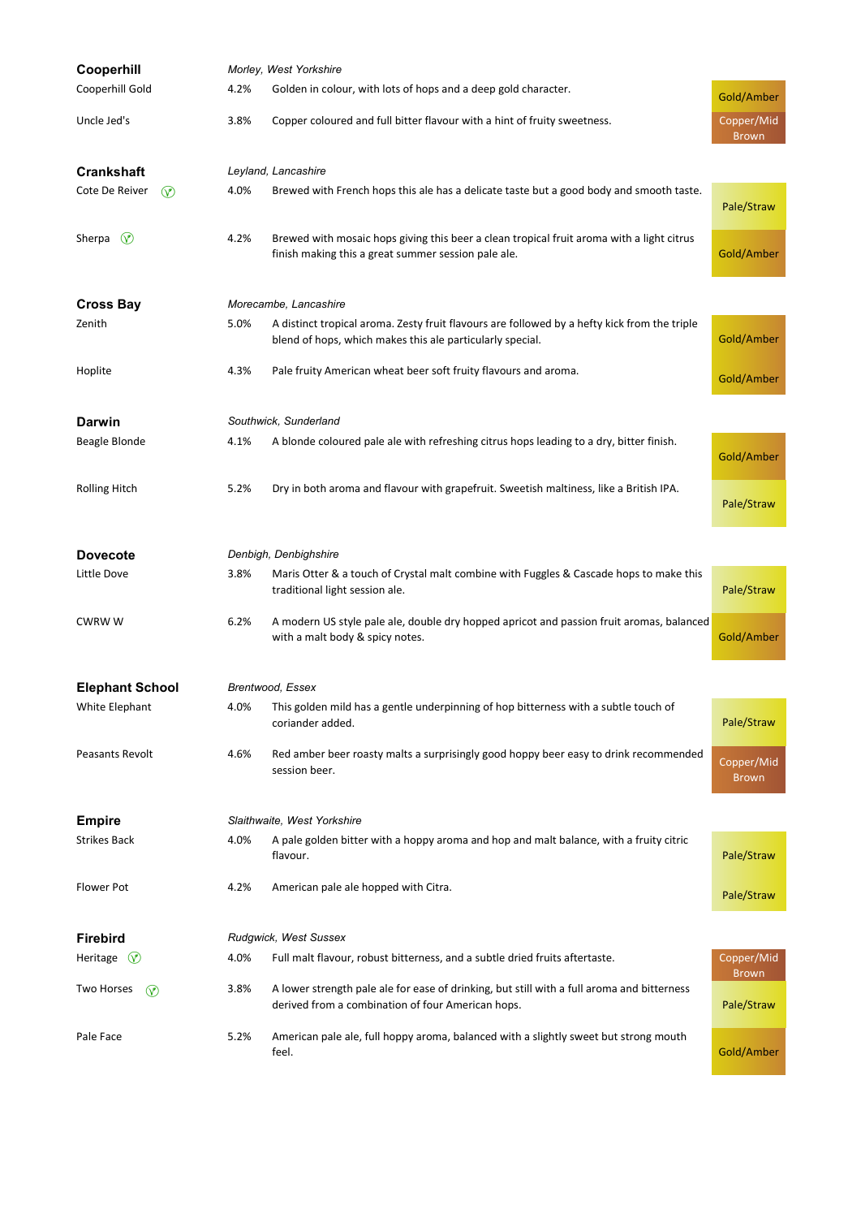| Cooperhill                       | Morley, West Yorkshire |                                                                                                                                                           |                            |  |
|----------------------------------|------------------------|-----------------------------------------------------------------------------------------------------------------------------------------------------------|----------------------------|--|
| Cooperhill Gold                  | 4.2%                   | Golden in colour, with lots of hops and a deep gold character.                                                                                            | Gold/Amber                 |  |
| Uncle Jed's                      | 3.8%                   | Copper coloured and full bitter flavour with a hint of fruity sweetness.                                                                                  | Copper/Mid<br><b>Brown</b> |  |
| <b>Crankshaft</b>                |                        | Leyland, Lancashire                                                                                                                                       |                            |  |
| Cote De Reiver<br>$\circledcirc$ | 4.0%                   | Brewed with French hops this ale has a delicate taste but a good body and smooth taste.                                                                   | Pale/Straw                 |  |
| Sherpa<br>$\circledcirc$         | 4.2%                   | Brewed with mosaic hops giving this beer a clean tropical fruit aroma with a light citrus<br>finish making this a great summer session pale ale.          | Gold/Amber                 |  |
| <b>Cross Bay</b>                 | Morecambe, Lancashire  |                                                                                                                                                           |                            |  |
| Zenith                           | 5.0%                   | A distinct tropical aroma. Zesty fruit flavours are followed by a hefty kick from the triple<br>blend of hops, which makes this ale particularly special. | Gold/Amber                 |  |
| Hoplite                          | 4.3%                   | Pale fruity American wheat beer soft fruity flavours and aroma.                                                                                           | Gold/Amber                 |  |
| <b>Darwin</b>                    |                        | Southwick, Sunderland                                                                                                                                     |                            |  |
| Beagle Blonde                    | 4.1%                   | A blonde coloured pale ale with refreshing citrus hops leading to a dry, bitter finish.                                                                   | Gold/Amber                 |  |
| <b>Rolling Hitch</b>             | 5.2%                   | Dry in both aroma and flavour with grapefruit. Sweetish maltiness, like a British IPA.                                                                    | Pale/Straw                 |  |
| <b>Dovecote</b>                  |                        | Denbigh, Denbighshire                                                                                                                                     |                            |  |
| Little Dove                      | 3.8%                   | Maris Otter & a touch of Crystal malt combine with Fuggles & Cascade hops to make this<br>traditional light session ale.                                  | Pale/Straw                 |  |
| <b>CWRWW</b>                     | 6.2%                   | A modern US style pale ale, double dry hopped apricot and passion fruit aromas, balanced<br>with a malt body & spicy notes.                               | Gold/Amber                 |  |
| <b>Elephant School</b>           |                        | Brentwood, Essex                                                                                                                                          |                            |  |
| White Elephant                   | 4.0%                   | This golden mild has a gentle underpinning of hop bitterness with a subtle touch of<br>coriander added.                                                   | Pale/Straw                 |  |
| Peasants Revolt                  | 4.6%                   | Red amber beer roasty malts a surprisingly good hoppy beer easy to drink recommended<br>session beer.                                                     | Copper/Mid<br><b>Brown</b> |  |
| <b>Empire</b>                    |                        | Slaithwaite, West Yorkshire                                                                                                                               |                            |  |
| <b>Strikes Back</b>              | 4.0%                   | A pale golden bitter with a hoppy aroma and hop and malt balance, with a fruity citric<br>flavour.                                                        | Pale/Straw                 |  |
| Flower Pot                       | 4.2%                   | American pale ale hopped with Citra.                                                                                                                      | Pale/Straw                 |  |
| <b>Firebird</b>                  | Rudgwick, West Sussex  |                                                                                                                                                           |                            |  |
| Heritage $\circled{v}$           | 4.0%                   | Full malt flavour, robust bitterness, and a subtle dried fruits aftertaste.                                                                               | Copper/Mid<br><b>Brown</b> |  |
| Two Horses<br>$\circledcirc$     | 3.8%                   | A lower strength pale ale for ease of drinking, but still with a full aroma and bitterness<br>derived from a combination of four American hops.           | Pale/Straw                 |  |
| Pale Face                        | 5.2%                   | American pale ale, full hoppy aroma, balanced with a slightly sweet but strong mouth<br>feel.                                                             | Gold/Amber                 |  |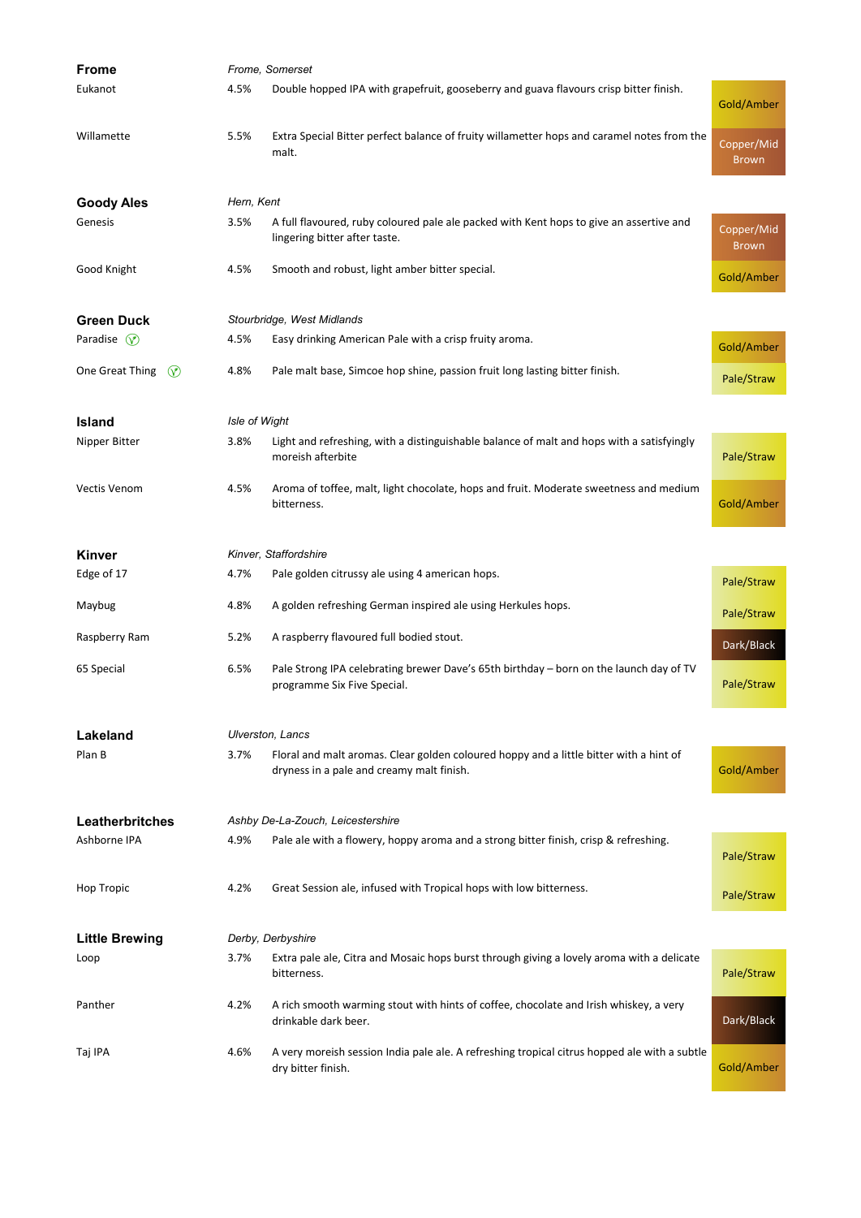| <b>Frome</b>                      | Frome, Somerset |                                                                                                                                     |                            |  |
|-----------------------------------|-----------------|-------------------------------------------------------------------------------------------------------------------------------------|----------------------------|--|
| Eukanot                           | 4.5%            | Double hopped IPA with grapefruit, gooseberry and guava flavours crisp bitter finish.                                               | Gold/Amber                 |  |
| Willamette                        | 5.5%            | Extra Special Bitter perfect balance of fruity willametter hops and caramel notes from the<br>malt.                                 | Copper/Mid<br><b>Brown</b> |  |
| <b>Goody Ales</b>                 | Hern, Kent      |                                                                                                                                     |                            |  |
| Genesis                           | 3.5%            | A full flavoured, ruby coloured pale ale packed with Kent hops to give an assertive and<br>lingering bitter after taste.            | Copper/Mid<br><b>Brown</b> |  |
| Good Knight                       | 4.5%            | Smooth and robust, light amber bitter special.                                                                                      | Gold/Amber                 |  |
| <b>Green Duck</b>                 |                 | Stourbridge, West Midlands                                                                                                          |                            |  |
| Paradise $\mathcal{P}$            | 4.5%            | Easy drinking American Pale with a crisp fruity aroma.                                                                              | Gold/Amber                 |  |
| One Great Thing<br>$\circledcirc$ | 4.8%            | Pale malt base, Simcoe hop shine, passion fruit long lasting bitter finish.                                                         | Pale/Straw                 |  |
| <b>Island</b>                     | Isle of Wight   |                                                                                                                                     |                            |  |
| Nipper Bitter                     | 3.8%            | Light and refreshing, with a distinguishable balance of malt and hops with a satisfyingly<br>moreish afterbite                      | Pale/Straw                 |  |
| Vectis Venom                      | 4.5%            | Aroma of toffee, malt, light chocolate, hops and fruit. Moderate sweetness and medium<br>bitterness.                                | Gold/Amber                 |  |
| <b>Kinver</b>                     |                 | Kinver, Staffordshire                                                                                                               |                            |  |
| Edge of 17                        | 4.7%            | Pale golden citrussy ale using 4 american hops.                                                                                     | Pale/Straw                 |  |
| Maybug                            | 4.8%            | A golden refreshing German inspired ale using Herkules hops.                                                                        | Pale/Straw                 |  |
| Raspberry Ram                     | 5.2%            | A raspberry flavoured full bodied stout.                                                                                            | Dark/Black                 |  |
| 65 Special                        | 6.5%            | Pale Strong IPA celebrating brewer Dave's 65th birthday - born on the launch day of TV<br>programme Six Five Special.               | Pale/Straw                 |  |
| Lakeland                          |                 | Ulverston, Lancs                                                                                                                    |                            |  |
| Plan B                            | 3.7%            | Floral and malt aromas. Clear golden coloured hoppy and a little bitter with a hint of<br>dryness in a pale and creamy malt finish. | Gold/Amber                 |  |
| Leatherbritches                   |                 | Ashby De-La-Zouch, Leicestershire                                                                                                   |                            |  |
| Ashborne IPA                      | 4.9%            | Pale ale with a flowery, hoppy aroma and a strong bitter finish, crisp & refreshing.                                                | Pale/Straw                 |  |
| <b>Hop Tropic</b>                 | 4.2%            | Great Session ale, infused with Tropical hops with low bitterness.                                                                  | Pale/Straw                 |  |
| <b>Little Brewing</b>             |                 | Derby, Derbyshire                                                                                                                   |                            |  |
| Loop                              | 3.7%            | Extra pale ale, Citra and Mosaic hops burst through giving a lovely aroma with a delicate<br>bitterness.                            | Pale/Straw                 |  |
| Panther                           | 4.2%            | A rich smooth warming stout with hints of coffee, chocolate and Irish whiskey, a very<br>drinkable dark beer.                       | Dark/Black                 |  |
| Taj IPA                           | 4.6%            | A very moreish session India pale ale. A refreshing tropical citrus hopped ale with a subtle<br>dry bitter finish.                  | Gold/Amber                 |  |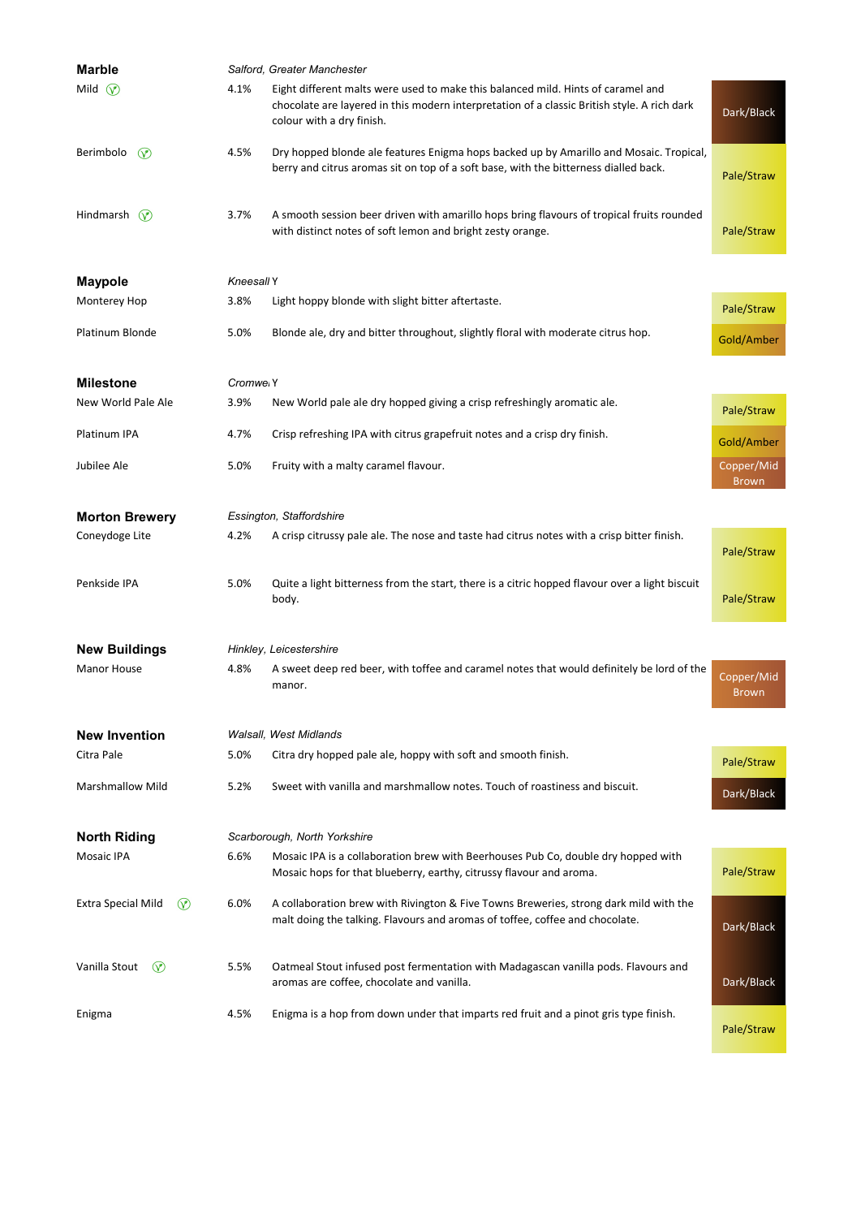| <b>Marble</b>                        | Salford, Greater Manchester |                                                                                                                                                                                                              |                            |
|--------------------------------------|-----------------------------|--------------------------------------------------------------------------------------------------------------------------------------------------------------------------------------------------------------|----------------------------|
| Mild $\heartsuit$                    | 4.1%                        | Eight different malts were used to make this balanced mild. Hints of caramel and<br>chocolate are layered in this modern interpretation of a classic British style. A rich dark<br>colour with a dry finish. | Dark/Black                 |
| Berimbolo<br>$\circledcirc$          | 4.5%                        | Dry hopped blonde ale features Enigma hops backed up by Amarillo and Mosaic. Tropical,<br>berry and citrus aromas sit on top of a soft base, with the bitterness dialled back.                               | Pale/Straw                 |
| Hindmarsh $\heartsuit$               | 3.7%                        | A smooth session beer driven with amarillo hops bring flavours of tropical fruits rounded<br>with distinct notes of soft lemon and bright zesty orange.                                                      | Pale/Straw                 |
| <b>Maypole</b>                       | Kneesall Y                  |                                                                                                                                                                                                              |                            |
| Monterey Hop                         | 3.8%                        | Light hoppy blonde with slight bitter aftertaste.                                                                                                                                                            | Pale/Straw                 |
| Platinum Blonde                      | 5.0%                        | Blonde ale, dry and bitter throughout, slightly floral with moderate citrus hop.                                                                                                                             | Gold/Amber                 |
| <b>Milestone</b>                     | Cromwei Y                   |                                                                                                                                                                                                              |                            |
| New World Pale Ale                   | 3.9%                        | New World pale ale dry hopped giving a crisp refreshingly aromatic ale.                                                                                                                                      | Pale/Straw                 |
| Platinum IPA                         | 4.7%                        | Crisp refreshing IPA with citrus grapefruit notes and a crisp dry finish.                                                                                                                                    | Gold/Amber                 |
| Jubilee Ale                          | 5.0%                        | Fruity with a malty caramel flavour.                                                                                                                                                                         | Copper/Mid<br><b>Brown</b> |
| <b>Morton Brewery</b>                |                             | Essington, Staffordshire                                                                                                                                                                                     |                            |
| Coneydoge Lite                       | 4.2%                        | A crisp citrussy pale ale. The nose and taste had citrus notes with a crisp bitter finish.                                                                                                                   | Pale/Straw                 |
| Penkside IPA                         | 5.0%                        | Quite a light bitterness from the start, there is a citric hopped flavour over a light biscuit<br>body.                                                                                                      | Pale/Straw                 |
| <b>New Buildings</b>                 |                             | Hinkley, Leicestershire                                                                                                                                                                                      |                            |
| Manor House                          | 4.8%                        | A sweet deep red beer, with toffee and caramel notes that would definitely be lord of the<br>manor.                                                                                                          | Copper/Mid<br><b>Brown</b> |
| <b>New Invention</b>                 |                             | Walsall, West Midlands                                                                                                                                                                                       |                            |
| Citra Pale                           | 5.0%                        | Citra dry hopped pale ale, hoppy with soft and smooth finish.                                                                                                                                                | Pale/Straw                 |
| <b>Marshmallow Mild</b>              | 5.2%                        | Sweet with vanilla and marshmallow notes. Touch of roastiness and biscuit.                                                                                                                                   | Dark/Black                 |
| <b>North Riding</b>                  |                             | Scarborough, North Yorkshire                                                                                                                                                                                 |                            |
| <b>Mosaic IPA</b>                    | 6.6%                        | Mosaic IPA is a collaboration brew with Beerhouses Pub Co, double dry hopped with<br>Mosaic hops for that blueberry, earthy, citrussy flavour and aroma.                                                     | Pale/Straw                 |
| $\circledcirc$<br>Extra Special Mild | 6.0%                        | A collaboration brew with Rivington & Five Towns Breweries, strong dark mild with the<br>malt doing the talking. Flavours and aromas of toffee, coffee and chocolate.                                        | Dark/Black                 |
| Vanilla Stout<br>$\circ$             | 5.5%                        | Oatmeal Stout infused post fermentation with Madagascan vanilla pods. Flavours and<br>aromas are coffee, chocolate and vanilla.                                                                              | Dark/Black                 |
| Enigma                               | 4.5%                        | Enigma is a hop from down under that imparts red fruit and a pinot gris type finish.                                                                                                                         | Pale/Straw                 |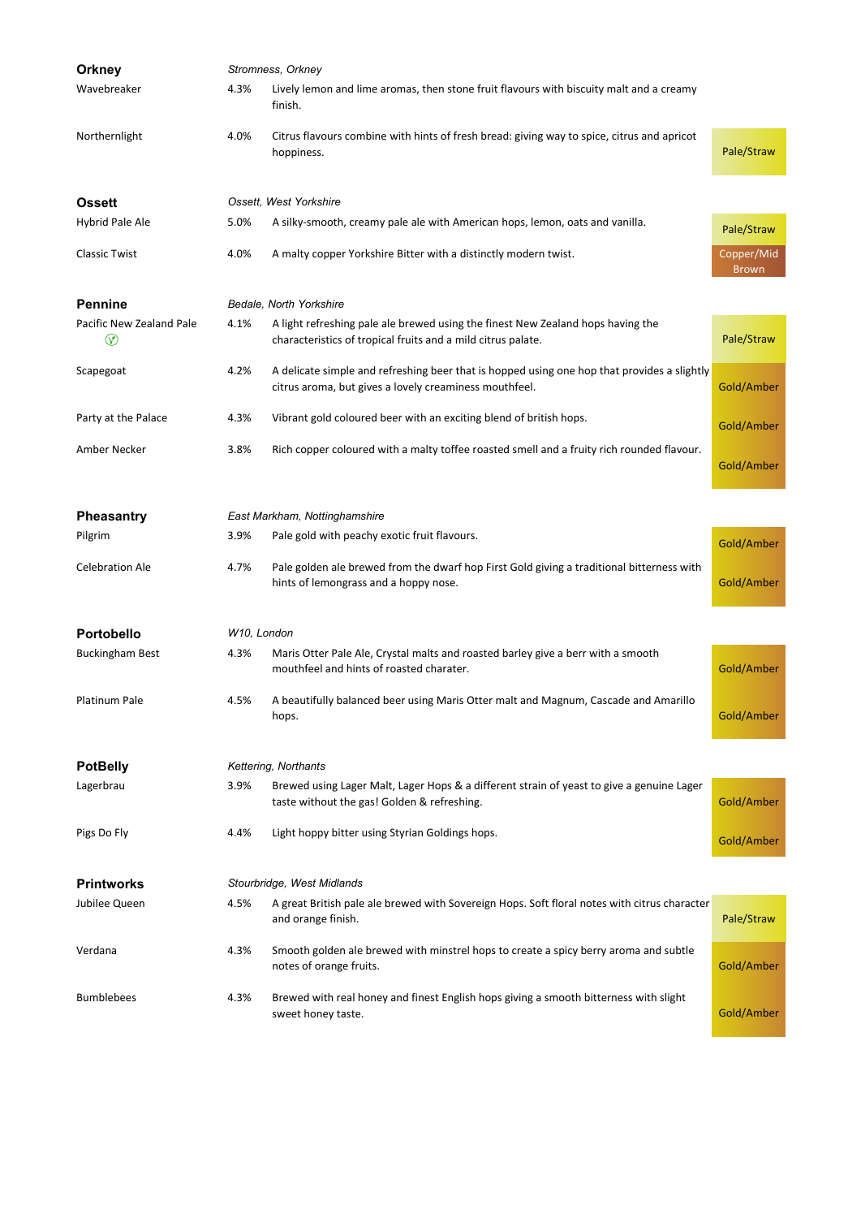| <b>Orkney</b>                            | Stromness, Orkney |                                                                                                                                                       |                            |
|------------------------------------------|-------------------|-------------------------------------------------------------------------------------------------------------------------------------------------------|----------------------------|
| Wavebreaker                              | 4.3%              | Lively lemon and lime aromas, then stone fruit flavours with biscuity malt and a creamy<br>finish.                                                    |                            |
| Northernlight                            | 4.0%              | Citrus flavours combine with hints of fresh bread: giving way to spice, citrus and apricot<br>hoppiness.                                              | Pale/Straw                 |
| <b>Ossett</b>                            |                   | Ossett, West Yorkshire                                                                                                                                |                            |
| Hybrid Pale Ale                          | 5.0%              | A silky-smooth, creamy pale ale with American hops, lemon, oats and vanilla.                                                                          | Pale/Straw                 |
| <b>Classic Twist</b>                     | 4.0%              | A malty copper Yorkshire Bitter with a distinctly modern twist.                                                                                       | Copper/Mid<br><b>Brown</b> |
| <b>Pennine</b>                           |                   | Bedale, North Yorkshire                                                                                                                               |                            |
| Pacific New Zealand Pale<br>$^\circledR$ | 4.1%              | A light refreshing pale ale brewed using the finest New Zealand hops having the<br>characteristics of tropical fruits and a mild citrus palate.       | Pale/Straw                 |
| Scapegoat                                | 4.2%              | A delicate simple and refreshing beer that is hopped using one hop that provides a slightly<br>citrus aroma, but gives a lovely creaminess mouthfeel. | Gold/Amber                 |
| Party at the Palace                      | 4.3%              | Vibrant gold coloured beer with an exciting blend of british hops.                                                                                    | Gold/Amber                 |
| Amber Necker                             | 3.8%              | Rich copper coloured with a malty toffee roasted smell and a fruity rich rounded flavour.                                                             | Gold/Amber                 |
|                                          |                   | East Markham, Nottinghamshire                                                                                                                         |                            |
| <b>Pheasantry</b>                        |                   |                                                                                                                                                       |                            |
| Pilgrim                                  | 3.9%              | Pale gold with peachy exotic fruit flavours.                                                                                                          | Gold/Amber                 |
| <b>Celebration Ale</b>                   | 4.7%              | Pale golden ale brewed from the dwarf hop First Gold giving a traditional bitterness with<br>hints of lemongrass and a hoppy nose.                    | Gold/Amber                 |
| <b>Portobello</b>                        | W10, London       |                                                                                                                                                       |                            |
| <b>Buckingham Best</b>                   | 4.3%              | Maris Otter Pale Ale, Crystal malts and roasted barley give a berr with a smooth<br>mouthfeel and hints of roasted charater.                          | Gold/Amber                 |
| Platinum Pale                            | 4.5%              | A beautifully balanced beer using Maris Otter malt and Magnum, Cascade and Amarillo<br>hops.                                                          | Gold/Amber                 |
| <b>PotBelly</b>                          |                   | Kettering, Northants                                                                                                                                  |                            |
| Lagerbrau                                | 3.9%              | Brewed using Lager Malt, Lager Hops & a different strain of yeast to give a genuine Lager<br>taste without the gas! Golden & refreshing.              | Gold/Amber                 |
| Pigs Do Fly                              | 4.4%              | Light hoppy bitter using Styrian Goldings hops.                                                                                                       | Gold/Amber                 |
| <b>Printworks</b>                        |                   | Stourbridge, West Midlands                                                                                                                            |                            |
| Jubilee Queen                            | 4.5%              | A great British pale ale brewed with Sovereign Hops. Soft floral notes with citrus character<br>and orange finish.                                    | Pale/Straw                 |
| Verdana                                  | 4.3%              | Smooth golden ale brewed with minstrel hops to create a spicy berry aroma and subtle<br>notes of orange fruits.                                       | Gold/Amber                 |
| <b>Bumblebees</b>                        | 4.3%              | Brewed with real honey and finest English hops giving a smooth bitterness with slight<br>sweet honey taste.                                           | Gold/Amber                 |